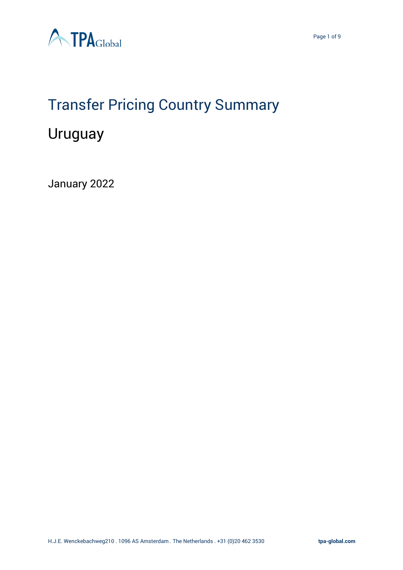

### Transfer Pricing Country Summary

### Uruguay

January 2022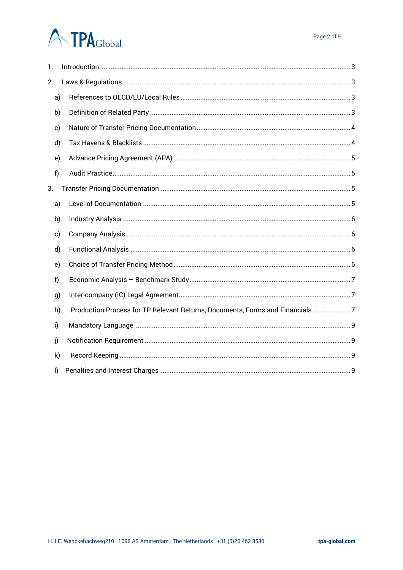| 1.           |    |                                                                               |
|--------------|----|-------------------------------------------------------------------------------|
| 2.           |    |                                                                               |
| a)           |    |                                                                               |
|              | b) |                                                                               |
| c)           |    |                                                                               |
| d)           |    |                                                                               |
| e)           |    |                                                                               |
| f)           |    |                                                                               |
| 3.           |    |                                                                               |
| a)           |    |                                                                               |
| b)           |    |                                                                               |
| c)           |    |                                                                               |
| d)           |    |                                                                               |
| e)           |    |                                                                               |
| f)           |    |                                                                               |
| g)           |    |                                                                               |
| h)           |    | Production Process for TP Relevant Returns, Documents, Forms and Financials 7 |
| i)           |    |                                                                               |
| j)           |    |                                                                               |
| k)           |    |                                                                               |
| $\mathsf{I}$ |    |                                                                               |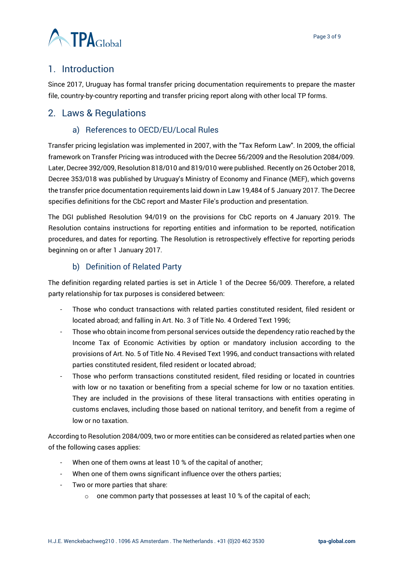

#### <span id="page-2-0"></span>1. Introduction

Since 2017, Uruguay has formal transfer pricing documentation requirements to prepare the master file, country-by-country reporting and transfer pricing report along with other local TP forms.

#### <span id="page-2-2"></span><span id="page-2-1"></span>2. Laws & Regulations

#### a) References to OECD/EU/Local Rules

Transfer pricing legislation was implemented in 2007, with the "Tax Reform Law". In 2009, the official framework on Transfer Pricing was introduced with the Decree 56/2009 and the Resolution 2084/009. Later, Decree 392/009, Resolution 818/010 and 819/010 were published. Recently on 26 October 2018, Decree 353/018 was published by Uruguay's Ministry of Economy and Finance (MEF), which governs the transfer price documentation requirements laid down in Law 19,484 of 5 January 2017. The Decree specifies definitions for the CbC report and Master File's production and presentation.

The DGI published Resolution 94/019 on the provisions for CbC reports on 4 January 2019. The Resolution contains instructions for reporting entities and information to be reported, notification procedures, and dates for reporting. The Resolution is retrospectively effective for reporting periods beginning on or after 1 January 2017.

#### b) Definition of Related Party

<span id="page-2-3"></span>The definition regarding related parties is set in Article 1 of the Decree 56/009. Therefore, a related party relationship for tax purposes is considered between:

- Those who conduct transactions with related parties constituted resident, filed resident or located abroad; and falling in Art. No. 3 of Title No. 4 Ordered Text 1996;
- Those who obtain income from personal services outside the dependency ratio reached by the Income Tax of Economic Activities by option or mandatory inclusion according to the provisions of Art. No. 5 of Title No. 4 Revised Text 1996, and conduct transactions with related parties constituted resident, filed resident or located abroad;
- Those who perform transactions constituted resident, filed residing or located in countries with low or no taxation or benefiting from a special scheme for low or no taxation entities. They are included in the provisions of these literal transactions with entities operating in customs enclaves, including those based on national territory, and benefit from a regime of low or no taxation.

According to Resolution 2084/009, two or more entities can be considered as related parties when one of the following cases applies:

- When one of them owns at least 10 % of the capital of another;
- When one of them owns significant influence over the others parties;
- Two or more parties that share:
	- $\circ$  one common party that possesses at least 10 % of the capital of each;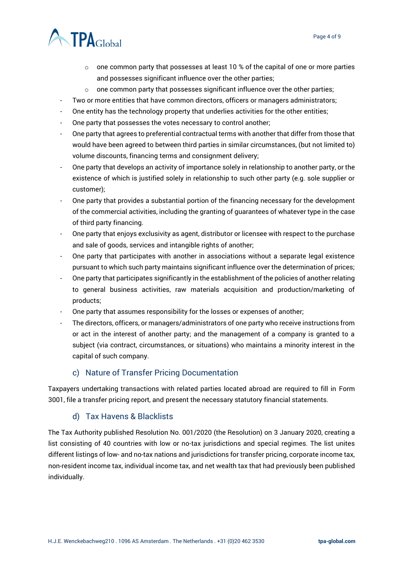

- $\circ$  one common party that possesses at least 10 % of the capital of one or more parties and possesses significant influence over the other parties;
- $\circ$  one common party that possesses significant influence over the other parties;
- Two or more entities that have common directors, officers or managers administrators;
- One entity has the technology property that underlies activities for the other entities;
- One party that possesses the votes necessary to control another;
- One party that agrees to preferential contractual terms with another that differ from those that would have been agreed to between third parties in similar circumstances, (but not limited to) volume discounts, financing terms and consignment delivery;
- One party that develops an activity of importance solely in relationship to another party, or the existence of which is justified solely in relationship to such other party (e.g. sole supplier or customer);
- One party that provides a substantial portion of the financing necessary for the development of the commercial activities, including the granting of guarantees of whatever type in the case of third party financing.
- One party that enjoys exclusivity as agent, distributor or licensee with respect to the purchase and sale of goods, services and intangible rights of another;
- One party that participates with another in associations without a separate legal existence pursuant to which such party maintains significant influence over the determination of prices;
- One party that participates significantly in the establishment of the policies of another relating to general business activities, raw materials acquisition and production/marketing of products;
- One party that assumes responsibility for the losses or expenses of another;
- The directors, officers, or managers/administrators of one party who receive instructions from or act in the interest of another party; and the management of a company is granted to a subject (via contract, circumstances, or situations) who maintains a minority interest in the capital of such company.

#### c) Nature of Transfer Pricing Documentation

<span id="page-3-0"></span>Taxpayers undertaking transactions with related parties located abroad are required to fill in Form 3001, file a transfer pricing report, and present the necessary statutory financial statements.

#### d) Tax Havens & Blacklists

<span id="page-3-1"></span>The Tax Authority published Resolution No. 001/2020 (the Resolution) on 3 January 2020, creating a list consisting of 40 countries with low or no-tax jurisdictions and special regimes. The list unites different listings of low- and no-tax nations and jurisdictions for transfer pricing, corporate income tax, non-resident income tax, individual income tax, and net wealth tax that had previously been published individually.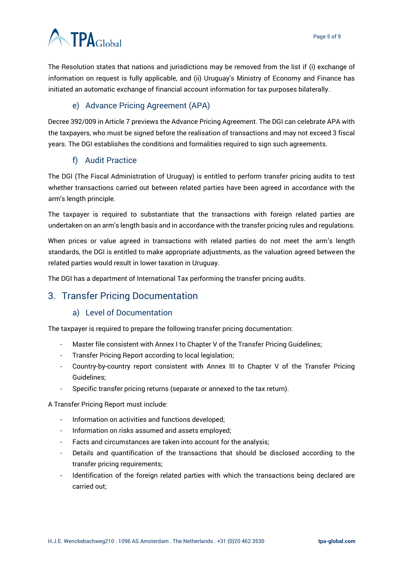The Resolution states that nations and jurisdictions may be removed from the list if (i) exchange of information on request is fully applicable, and (ii) Uruguay's Ministry of Economy and Finance has initiated an automatic exchange of financial account information for tax purposes bilaterally.

#### e) Advance Pricing Agreement (APA)

<span id="page-4-0"></span>Decree 392/009 in Article 7 previews the Advance Pricing Agreement. The DGI can celebrate APA with the taxpayers, who must be signed before the realisation of transactions and may not exceed 3 fiscal years. The DGI establishes the conditions and formalities required to sign such agreements.

#### f) Audit Practice

<span id="page-4-1"></span>The DGI (The Fiscal Administration of Uruguay) is entitled to perform transfer pricing audits to test whether transactions carried out between related parties have been agreed in accordance with the arm's length principle.

The taxpayer is required to substantiate that the transactions with foreign related parties are undertaken on an arm's length basis and in accordance with the transfer pricing rules and regulations.

When prices or value agreed in transactions with related parties do not meet the arm's length standards, the DGI is entitled to make appropriate adjustments, as the valuation agreed between the related parties would result in lower taxation in Uruguay.

The DGI has a department of International Tax performing the transfer pricing audits.

#### <span id="page-4-3"></span><span id="page-4-2"></span>3. Transfer Pricing Documentation

#### a) Level of Documentation

The taxpayer is required to prepare the following transfer pricing documentation:

- Master file consistent with Annex I to Chapter V of the Transfer Pricing Guidelines;
- Transfer Pricing Report according to local legislation;
- Country-by-country report consistent with Annex III to Chapter V of the Transfer Pricing Guidelines;
- Specific transfer pricing returns (separate or annexed to the tax return).

A Transfer Pricing Report must include:

- Information on activities and functions developed;
- Information on risks assumed and assets employed;
- Facts and circumstances are taken into account for the analysis;
- Details and quantification of the transactions that should be disclosed according to the transfer pricing requirements;
- Identification of the foreign related parties with which the transactions being declared are carried out;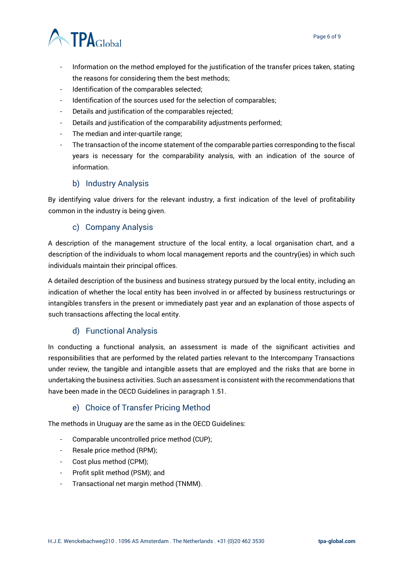

- Information on the method employed for the justification of the transfer prices taken, stating the reasons for considering them the best methods;
- Identification of the comparables selected;
- Identification of the sources used for the selection of comparables;
- Details and justification of the comparables rejected;
- Details and justification of the comparability adjustments performed;
- The median and inter-quartile range;
- The transaction of the income statement of the comparable parties corresponding to the fiscal years is necessary for the comparability analysis, with an indication of the source of information.

#### b) Industry Analysis

<span id="page-5-0"></span>By identifying value drivers for the relevant industry, a first indication of the level of profitability common in the industry is being given.

#### c) Company Analysis

<span id="page-5-1"></span>A description of the management structure of the local entity, a local organisation chart, and a description of the individuals to whom local management reports and the country(ies) in which such individuals maintain their principal offices.

A detailed description of the business and business strategy pursued by the local entity, including an indication of whether the local entity has been involved in or affected by business restructurings or intangibles transfers in the present or immediately past year and an explanation of those aspects of such transactions affecting the local entity.

#### d) Functional Analysis

<span id="page-5-2"></span>In conducting a functional analysis, an assessment is made of the significant activities and responsibilities that are performed by the related parties relevant to the Intercompany Transactions under review, the tangible and intangible assets that are employed and the risks that are borne in undertaking the business activities. Such an assessment is consistent with the recommendations that have been made in the OECD Guidelines in paragraph 1.51.

#### e) Choice of Transfer Pricing Method

<span id="page-5-3"></span>The methods in Uruguay are the same as in the OECD Guidelines:

- Comparable uncontrolled price method (CUP);
- Resale price method (RPM);
- Cost plus method (CPM);
- Profit split method (PSM); and
- Transactional net margin method (TNMM).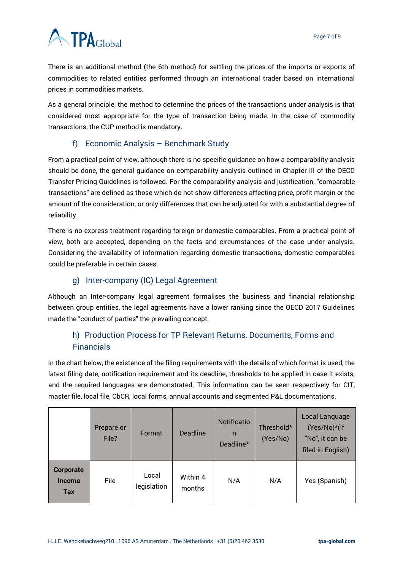There is an additional method (the 6th method) for settling the prices of the imports or exports of commodities to related entities performed through an international trader based on international prices in commodities markets.

As a general principle, the method to determine the prices of the transactions under analysis is that considered most appropriate for the type of transaction being made. In the case of commodity transactions, the CUP method is mandatory.

#### f) Economic Analysis – Benchmark Study

<span id="page-6-0"></span>From a practical point of view, although there is no specific guidance on how a comparability analysis should be done, the general guidance on comparability analysis outlined in Chapter III of the OECD Transfer Pricing Guidelines is followed. For the comparability analysis and justification, "comparable transactions" are defined as those which do not show differences affecting price, profit margin or the amount of the consideration, or only differences that can be adjusted for with a substantial degree of reliability.

There is no express treatment regarding foreign or domestic comparables. From a practical point of view, both are accepted, depending on the facts and circumstances of the case under analysis. Considering the availability of information regarding domestic transactions, domestic comparables could be preferable in certain cases.

#### g) Inter-company (IC) Legal Agreement

<span id="page-6-1"></span>Although an Inter-company legal agreement formalises the business and financial relationship between group entities, the legal agreements have a lower ranking since the OECD 2017 Guidelines made the "conduct of parties" the prevailing concept.

#### <span id="page-6-2"></span>h) Production Process for TP Relevant Returns, Documents, Forms and **Financials**

In the chart below, the existence of the filing requirements with the details of which format is used, the latest filing date, notification requirement and its deadline, thresholds to be applied in case it exists, and the required languages are demonstrated. This information can be seen respectively for CIT, master file, local file, CbCR, local forms, annual accounts and segmented P&L documentations.

|                                                 | Prepare or<br>File? | Format               | <b>Deadline</b>    | Notificatio<br>n<br>Deadline* | Threshold*<br>(Yes/No) | Local Language<br>(Yes/No)*(If<br>"No", it can be<br>filed in English) |
|-------------------------------------------------|---------------------|----------------------|--------------------|-------------------------------|------------------------|------------------------------------------------------------------------|
| <b>Corporate</b><br><b>Income</b><br><b>Tax</b> | File                | Local<br>legislation | Within 4<br>months | N/A                           | N/A                    | Yes (Spanish)                                                          |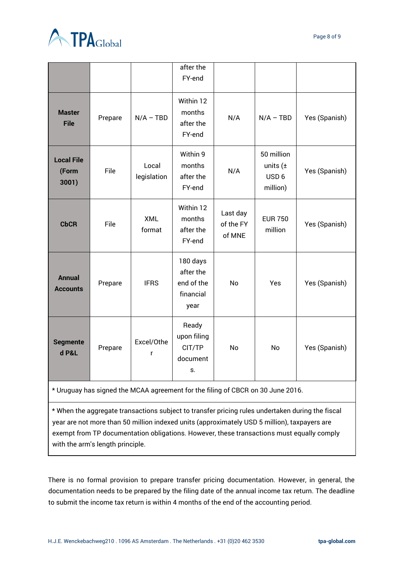

|                                     |         |                      | after the                                                |                                 |                                                            |               |
|-------------------------------------|---------|----------------------|----------------------------------------------------------|---------------------------------|------------------------------------------------------------|---------------|
|                                     |         |                      | FY-end                                                   |                                 |                                                            |               |
| <b>Master</b><br><b>File</b>        | Prepare | $N/A - TBD$          | Within 12<br>months<br>after the<br>FY-end               | N/A                             | $N/A - TBD$                                                | Yes (Spanish) |
| <b>Local File</b><br>(Form<br>3001) | File    | Local<br>legislation | Within 9<br>months<br>after the<br>FY-end                | N/A                             | 50 million<br>units $(\pm$<br>USD <sub>6</sub><br>million) | Yes (Spanish) |
| <b>CbCR</b>                         | File    | <b>XML</b><br>format | Within 12<br>months<br>after the<br>FY-end               | Last day<br>of the FY<br>of MNE | <b>EUR 750</b><br>million                                  | Yes (Spanish) |
| <b>Annual</b><br><b>Accounts</b>    | Prepare | <b>IFRS</b>          | 180 days<br>after the<br>end of the<br>financial<br>year | No                              | <b>Yes</b>                                                 | Yes (Spanish) |
| <b>Segmente</b><br>d P&L            | Prepare | Excel/Othe<br>r      | Ready<br>upon filing<br>CIT/TP<br>document<br>S.         | <b>No</b>                       | <b>No</b>                                                  | Yes (Spanish) |

\* Uruguay has signed the MCAA agreement for the filing of CBCR on 30 June 2016.

\* When the aggregate transactions subject to transfer pricing rules undertaken during the fiscal year are not more than 50 million indexed units (approximately USD 5 million), taxpayers are exempt from TP documentation obligations. However, these transactions must equally comply with the arm's length principle.

There is no formal provision to prepare transfer pricing documentation. However, in general, the documentation needs to be prepared by the filing date of the annual income tax return. The deadline to submit the income tax return is within 4 months of the end of the accounting period.